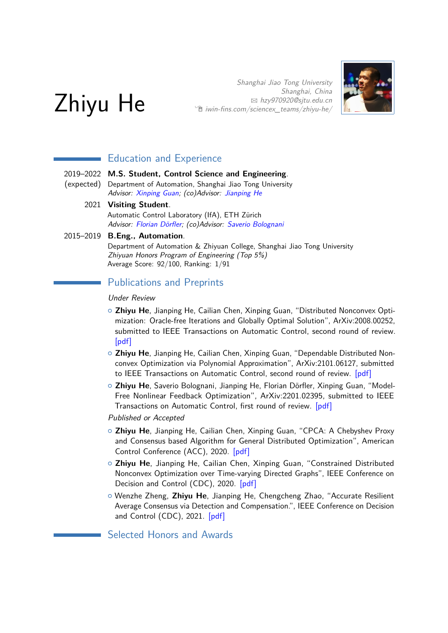

Shanghai Jiao Tong University Shanghai, China B [hzy970920@sjtu.edu.cn](mailto:hzy970920@sjtu.edu.cn)  $\hat{\mathbb{E}}$  [iwin-fins.com/sciencex\\_teams/zhiyu-he/](http://iwin-fins.com/sciencex_teams/zhiyu-he/)



# Education and Experience

- 2019–2022 **M.S. Student, Control Science and Engineering**.
- (expected) Department of Automation, Shanghai Jiao Tong University Advisor: [Xinping Guan;](http://english.seiee.sjtu.edu.cn/english/detail/708_591.htm) (co)Advisor: [Jianping He](https://iwin-fins.com/)
	- 2021 **Visiting Student**. Automatic Control Laboratory (IfA), ETH Zürich

Advisor: [Florian Dörfler;](http://people.ee.ethz.ch/~floriand/) (co)Advisor: [Saverio Bolognani](http://people.ee.ethz.ch/~bsaverio/)

### 2015–2019 **B.Eng., Automation**.

Department of Automation & Zhiyuan College, Shanghai Jiao Tong University Zhiyuan Honors Program of Engineering (Top 5%) Average Score: 92/100, Ranking: 1/91

# Publications and Preprints

### Under Review

- { **Zhiyu He**, Jianping He, Cailian Chen, Xinping Guan, "Distributed Nonconvex Optimization: Oracle-free Iterations and Globally Optimal Solution", ArXiv:2008.00252, submitted to IEEE Transactions on Automatic Control, second round of review. [\[pdf\]](https://arxiv.org/pdf/2008.00252.pdf)
- { **Zhiyu He**, Jianping He, Cailian Chen, Xinping Guan, "Dependable Distributed Nonconvex Optimization via Polynomial Approximation", ArXiv:2101.06127, submitted to IEEE Transactions on Automatic Control, second round of review. [\[pdf\]](https://arxiv.org/pdf/2101.06127.pdf)
- { **Zhiyu He**, Saverio Bolognani, Jianping He, Florian Dörfler, Xinping Guan, "Model-Free Nonlinear Feedback Optimization", ArXiv:2201.02395, submitted to IEEE Transactions on Automatic Control, first round of review. [\[pdf\]](https://arxiv.org/pdf/2201.02395.pdf)

Published or Accepted

- { **Zhiyu He**, Jianping He, Cailian Chen, Xinping Guan, "CPCA: A Chebyshev Proxy and Consensus based Algorithm for General Distributed Optimization", American Control Conference (ACC), 2020. [\[pdf\]](https://iwin-fins.com/wp-content/uploads/2020/04/ACC20_0987_FI.pdf)
- { **Zhiyu He**, Jianping He, Cailian Chen, Xinping Guan, "Constrained Distributed Nonconvex Optimization over Time-varying Directed Graphs", IEEE Conference on Decision and Control (CDC), 2020. [\[pdf\]](https://iwin-fins.com/wp-content/uploads/2021/01/Constrained-Distributed-Nonconvex-Optimization-over-Time-varying-Directed-Graphs.pdf)
- { Wenzhe Zheng, **Zhiyu He**, Jianping He, Chengcheng Zhao, "Accurate Resilient Average Consensus via Detection and Compensation.", IEEE Conference on Decision and Control (CDC), 2021. [\[pdf\]](https://iwin-fins.com/wp-content/uploads/2021/03/CDC21__home_paperplaza_css.paperplaza.net_www_conferences_conferences_CDC21_submissions_1369_MS.pdf)

Selected Honors and Awards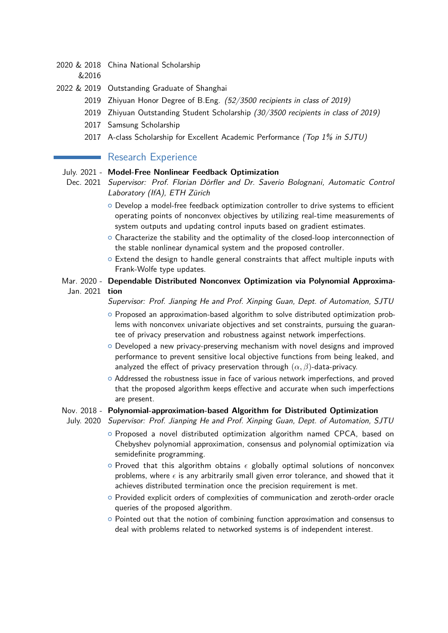- 2020 & 2018 China National Scholarship
	- &2016
- 2022 & 2019 Outstanding Graduate of Shanghai
	- 2019 Zhiyuan Honor Degree of B.Eng. (52/3500 recipients in class of 2019)
	- 2019 Zhiyuan Outstanding Student Scholarship (30/3500 recipients in class of 2019)
	- 2017 Samsung Scholarship
	- 2017 A-class Scholarship for Excellent Academic Performance (Top 1% in SJTU)

## Research Experience

#### July. 2021 - **Model-Free Nonlinear Feedback Optimization**

- Dec. 2021 Supervisor: Prof. Florian Dörfler and Dr. Saverio Bolognani, Automatic Control Laboratory (IfA), ETH Zürich
	- $\circ$  Develop a model-free feedback optimization controller to drive systems to efficient operating points of nonconvex objectives by utilizing real-time measurements of system outputs and updating control inputs based on gradient estimates.
	- $\circ$  Characterize the stability and the optimality of the closed-loop interconnection of the stable nonlinear dynamical system and the proposed controller.
	- $\circ$  Extend the design to handle general constraints that affect multiple inputs with Frank-Wolfe type updates.
- Mar. 2020 **Dependable Distributed Nonconvex Optimization via Polynomial Approxima-**Jan. 2021 **tion**
	- Supervisor: Prof. Jianping He and Prof. Xinping Guan, Dept. of Automation, SJTU
	- { Proposed an approximation-based algorithm to solve distributed optimization problems with nonconvex univariate objectives and set constraints, pursuing the guarantee of privacy preservation and robustness against network imperfections.
	- $\circ$  Developed a new privacy-preserving mechanism with novel designs and improved performance to prevent sensitive local objective functions from being leaked, and analyzed the effect of privacy preservation through (*α, β*)-data-privacy.
	- $\circ$  Addressed the robustness issue in face of various network imperfections, and proved that the proposed algorithm keeps effective and accurate when such imperfections are present.

#### Nov. 2018 - **Polynomial-approximation-based Algorithm for Distributed Optimization**

- July. 2020 Supervisor: Prof. Jianping He and Prof. Xinping Guan, Dept. of Automation, SJTU
	- $\circ$  Proposed a novel distributed optimization algorithm named CPCA, based on Chebyshev polynomial approximation, consensus and polynomial optimization via semidefinite programming.
	- $\circ$  Proved that this algorithm obtains  $\epsilon$  globally optimal solutions of nonconvex problems, where  $\epsilon$  is any arbitrarily small given error tolerance, and showed that it achieves distributed termination once the precision requirement is met.
	- { Provided explicit orders of complexities of communication and zeroth-order oracle queries of the proposed algorithm.
	- $\circ$  Pointed out that the notion of combining function approximation and consensus to deal with problems related to networked systems is of independent interest.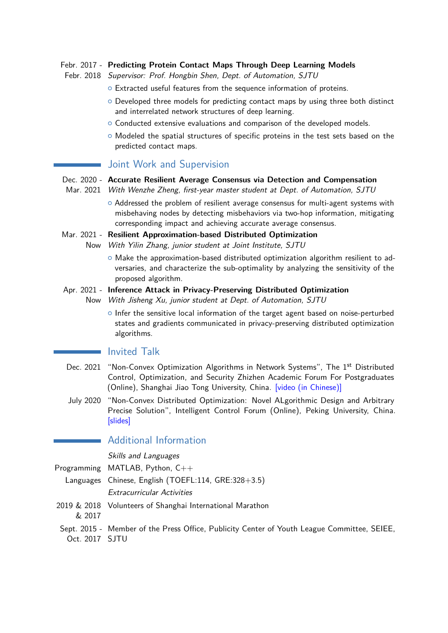### Febr. 2017 - **Predicting Protein Contact Maps Through Deep Learning Models**

- Febr. 2018 Supervisor: Prof. Hongbin Shen, Dept. of Automation, SJTU
	- o Extracted useful features from the sequence information of proteins.
	- $\circ$  Developed three models for predicting contact maps by using three both distinct and interrelated network structures of deep learning.
	- $\circ$  Conducted extensive evaluations and comparison of the developed models.
	- $\circ$  Modeled the spatial structures of specific proteins in the test sets based on the predicted contact maps.

## Joint Work and Supervision

- Dec. 2020 **Accurate Resilient Average Consensus via Detection and Compensation**
- Mar. 2021 With Wenzhe Zheng, first-year master student at Dept. of Automation, SJTU
	- $\circ$  Addressed the problem of resilient average consensus for multi-agent systems with misbehaving nodes by detecting misbehaviors via two-hop information, mitigating corresponding impact and achieving accurate average consensus.
- Mar. 2021 **Resilient Approximation-based Distributed Optimization** Now With Yilin Zhang, junior student at Joint Institute, SJTU
	- { Make the approximation-based distributed optimization algorithm resilient to adversaries, and characterize the sub-optimality by analyzing the sensitivity of the proposed algorithm.
- Apr. 2021 **Inference Attack in Privacy-Preserving Distributed Optimization** Now With Jisheng Xu, junior student at Dept. of Automation, SJTU
	- $\circ$  Infer the sensitive local information of the target agent based on noise-perturbed states and gradients communicated in privacy-preserving distributed optimization algorithms.

## **I**nvited Talk

- Dec. 2021 "Non-Convex Optimization Algorithms in Network Systems", The 1<sup>st</sup> Distributed Control, Optimization, and Security Zhizhen Academic Forum For Postgraduates (Online), Shanghai Jiao Tong University, China. [\[video \(in Chinese\)\]](https://www.bilibili.com/video/BV1kL4y1n7w6?p=2)
- July 2020 "Non-Convex Distributed Optimization: Novel ALgorithmic Design and Arbitrary Precise Solution", Intelligent Control Forum (Online), Peking University, China. [\[slides\]](https://iwin-fins.com/wp-content/uploads/2020/07/zhiyuhe-presentation.pdf)

# Additional Information

Skills and Languages

Programming MATLAB, Python, C++

Languages Chinese, English (TOEFL:114, GRE:328+3.5) Extracurricular Activities

- 2019 & 2018 Volunteers of Shanghai International Marathon
	- & 2017
- Sept. 2015 Member of the Press Office, Publicity Center of Youth League Committee, SEIEE, Oct. 2017 SJTU